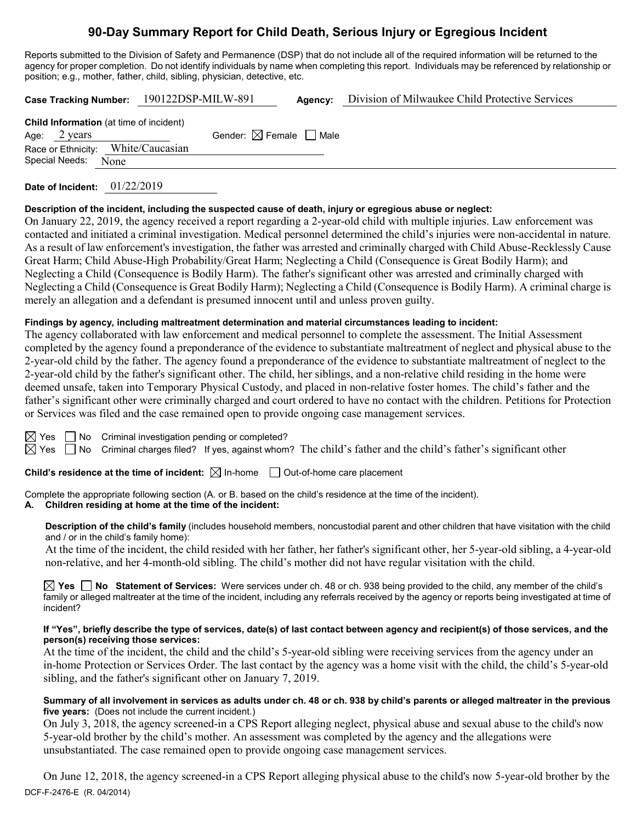# **90-Day Summary Report for Child Death, Serious Injury or Egregious Incident**

Reports submitted to the Division of Safety and Permanence (DSP) that do not include all of the required information will be returned to the agency for proper completion. Do not identify individuals by name when completing this report. Individuals may be referenced by relationship or position; e.g., mother, father, child, sibling, physician, detective, etc.

**Case Tracking Number:** 190122DSP-MILW-891 **Agency:** Division of Milwaukee Child Protective Services

| <b>Child Information</b> (at time of incident) |                        |                                    |                                        |  |  |  |  |  |
|------------------------------------------------|------------------------|------------------------------------|----------------------------------------|--|--|--|--|--|
|                                                | Age: $2 \text{ years}$ |                                    | Gender: $\boxtimes$ Female $\Box$ Male |  |  |  |  |  |
|                                                |                        | Race or Ethnicity: White/Caucasian |                                        |  |  |  |  |  |
|                                                | Special Needs: None    |                                    |                                        |  |  |  |  |  |

**Date of Incident:** 01/22/2019

## **Description of the incident, including the suspected cause of death, injury or egregious abuse or neglect:**

On January 22, 2019, the agency received a report regarding a 2-year-old child with multiple injuries. Law enforcement was contacted and initiated a criminal investigation. Medical personnel determined the child's injuries were non-accidental in nature. As a result of law enforcement's investigation, the father was arrested and criminally charged with Child Abuse-Recklessly Cause Great Harm; Child Abuse-High Probability/Great Harm; Neglecting a Child (Consequence is Great Bodily Harm); and Neglecting a Child (Consequence is Bodily Harm). The father's significant other was arrested and criminally charged with Neglecting a Child (Consequence is Great Bodily Harm); Neglecting a Child (Consequence is Bodily Harm). A criminal charge is merely an allegation and a defendant is presumed innocent until and unless proven guilty.

## **Findings by agency, including maltreatment determination and material circumstances leading to incident:**

The agency collaborated with law enforcement and medical personnel to complete the assessment. The Initial Assessment completed by the agency found a preponderance of the evidence to substantiate maltreatment of neglect and physical abuse to the 2-year-old child by the father. The agency found a preponderance of the evidence to substantiate maltreatment of neglect to the 2-year-old child by the father's significant other. The child, her siblings, and a non-relative child residing in the home were deemed unsafe, taken into Temporary Physical Custody, and placed in non-relative foster homes. The child's father and the father's significant other were criminally charged and court ordered to have no contact with the children. Petitions for Protection or Services was filed and the case remained open to provide ongoing case management services.

 $\boxtimes$  Yes  $\Box$  No Criminal investigation pending or completed?

 $\boxtimes$  Yes  $\Box$  No Criminal charges filed? If yes, against whom? The child's father and the child's father's significant other

**Child's residence at the time of incident:**  $\boxtimes$  In-home  $\Box$  Out-of-home care placement

Complete the appropriate following section (A. or B. based on the child's residence at the time of the incident).

## **A. Children residing at home at the time of the incident:**

**Description of the child's family** (includes household members, noncustodial parent and other children that have visitation with the child and / or in the child's family home):

At the time of the incident, the child resided with her father, her father's significant other, her 5-year-old sibling, a 4-year-old non-relative, and her 4-month-old sibling. The child's mother did not have regular visitation with the child.

**Yes No Statement of Services:** Were services under ch. 48 or ch. 938 being provided to the child, any member of the child's family or alleged maltreater at the time of the incident, including any referrals received by the agency or reports being investigated at time of incident?

#### **If "Yes", briefly describe the type of services, date(s) of last contact between agency and recipient(s) of those services, and the person(s) receiving those services:**

At the time of the incident, the child and the child's 5-year-old sibling were receiving services from the agency under an in-home Protection or Services Order. The last contact by the agency was a home visit with the child, the child's 5-year-old sibling, and the father's significant other on January 7, 2019.

#### **Summary of all involvement in services as adults under ch. 48 or ch. 938 by child's parents or alleged maltreater in the previous five years:** (Does not include the current incident.)

On July 3, 2018, the agency screened-in a CPS Report alleging neglect, physical abuse and sexual abuse to the child's now 5-year-old brother by the child's mother. An assessment was completed by the agency and the allegations were unsubstantiated. The case remained open to provide ongoing case management services.

DCF-F-2476-E (R. 04/2014) On June 12, 2018, the agency screened-in a CPS Report alleging physical abuse to the child's now 5-year-old brother by the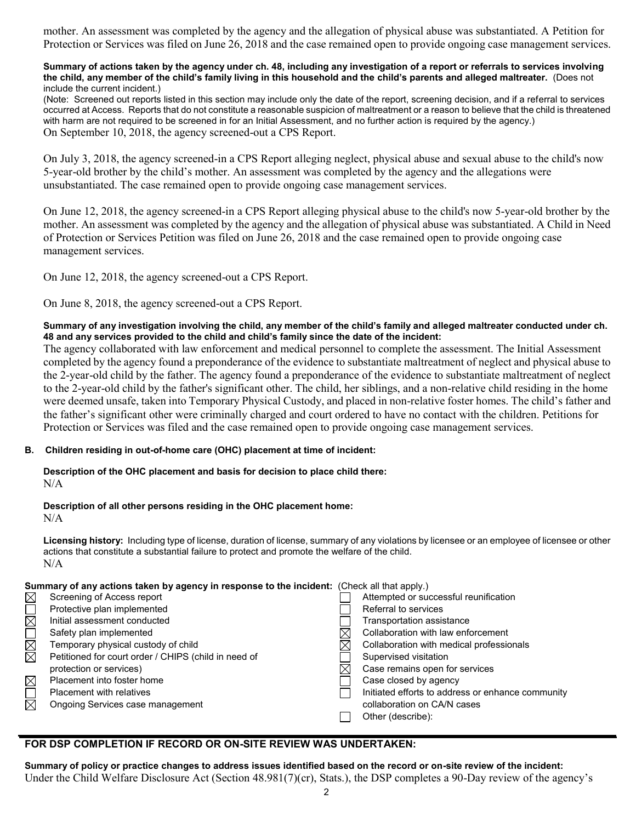mother. An assessment was completed by the agency and the allegation of physical abuse was substantiated. A Petition for Protection or Services was filed on June 26, 2018 and the case remained open to provide ongoing case management services.

#### **Summary of actions taken by the agency under ch. 48, including any investigation of a report or referrals to services involving the child, any member of the child's family living in this household and the child's parents and alleged maltreater.** (Does not include the current incident.)

(Note: Screened out reports listed in this section may include only the date of the report, screening decision, and if a referral to services occurred at Access. Reports that do not constitute a reasonable suspicion of maltreatment or a reason to believe that the child is threatened with harm are not required to be screened in for an Initial Assessment, and no further action is required by the agency.) On September 10, 2018, the agency screened-out a CPS Report.

On July 3, 2018, the agency screened-in a CPS Report alleging neglect, physical abuse and sexual abuse to the child's now 5-year-old brother by the child's mother. An assessment was completed by the agency and the allegations were unsubstantiated. The case remained open to provide ongoing case management services.

On June 12, 2018, the agency screened-in a CPS Report alleging physical abuse to the child's now 5-year-old brother by the mother. An assessment was completed by the agency and the allegation of physical abuse was substantiated. A Child in Need of Protection or Services Petition was filed on June 26, 2018 and the case remained open to provide ongoing case management services.

On June 12, 2018, the agency screened-out a CPS Report.

On June 8, 2018, the agency screened-out a CPS Report.

### **Summary of any investigation involving the child, any member of the child's family and alleged maltreater conducted under ch. 48 and any services provided to the child and child's family since the date of the incident:**

The agency collaborated with law enforcement and medical personnel to complete the assessment. The Initial Assessment completed by the agency found a preponderance of the evidence to substantiate maltreatment of neglect and physical abuse to the 2-year-old child by the father. The agency found a preponderance of the evidence to substantiate maltreatment of neglect to the 2-year-old child by the father's significant other. The child, her siblings, and a non-relative child residing in the home were deemed unsafe, taken into Temporary Physical Custody, and placed in non-relative foster homes. The child's father and the father's significant other were criminally charged and court ordered to have no contact with the children. Petitions for Protection or Services was filed and the case remained open to provide ongoing case management services.

### **B. Children residing in out-of-home care (OHC) placement at time of incident:**

**Description of the OHC placement and basis for decision to place child there:** N/A

#### **Description of all other persons residing in the OHC placement home:**  $N/A$

**Licensing history:** Including type of license, duration of license, summary of any violations by licensee or an employee of licensee or other actions that constitute a substantial failure to protect and promote the welfare of the child. N/A

|                  | Summary of any actions taken by agency in response to the incident: (Check all that apply.) |   |                                                   |  |  |
|------------------|---------------------------------------------------------------------------------------------|---|---------------------------------------------------|--|--|
| $\boxtimes$      | Screening of Access report                                                                  |   | Attempted or successful reunification             |  |  |
|                  | Protective plan implemented                                                                 |   | Referral to services                              |  |  |
| $\overline{\Xi}$ | Initial assessment conducted                                                                |   | Transportation assistance                         |  |  |
|                  | Safety plan implemented                                                                     |   | Collaboration with law enforcement                |  |  |
|                  | Temporary physical custody of child                                                         | ⋉ | Collaboration with medical professionals          |  |  |
| <u>ri</u><br>N   | Petitioned for court order / CHIPS (child in need of                                        |   | Supervised visitation                             |  |  |
|                  | protection or services)                                                                     | M | Case remains open for services                    |  |  |
| $\boxtimes$      | Placement into foster home                                                                  |   | Case closed by agency                             |  |  |
| $\Box$           | <b>Placement with relatives</b>                                                             |   | Initiated efforts to address or enhance community |  |  |
| $\boxtimes$      | Ongoing Services case management                                                            |   | collaboration on CA/N cases                       |  |  |
|                  |                                                                                             |   | Other (describe):                                 |  |  |

## **FOR DSP COMPLETION IF RECORD OR ON-SITE REVIEW WAS UNDERTAKEN:**

**Summary of policy or practice changes to address issues identified based on the record or on-site review of the incident:** Under the Child Welfare Disclosure Act (Section 48.981(7)(cr), Stats.), the DSP completes a 90-Day review of the agency's